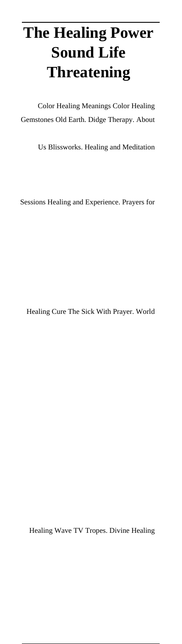# **The Healing Power Sound Life Threatening**

Color Healing Meanings Color Healing Gemstones Old Earth. Didge Therapy. About

Us Blissworks. Healing and Meditation

Sessions Healing and Experience. Prayers for

Healing Cure The Sick With Prayer. World

Healing Wave TV Tropes. Divine Healing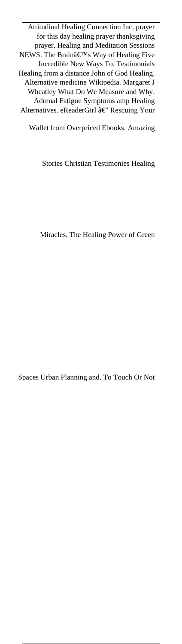Attitudinal Healing Connection Inc. prayer for this day healing prayer thanksgiving prayer. Healing and Meditation Sessions NEWS. The Brain's Way of Healing Five Incredible New Ways To. Testimonials Healing from a distance John of God Healing. Alternative medicine Wikipedia. Margaret J Wheatley What Do We Measure and Why. Adrenal Fatigue Symptoms amp Healing Alternatives. eReaderGirl â€" Rescuing Your

Wallet from Overpriced Ebooks. Amazing

Stories Christian Testimonies Healing

Miracles. The Healing Power of Green

Spaces Urban Planning and. To Touch Or Not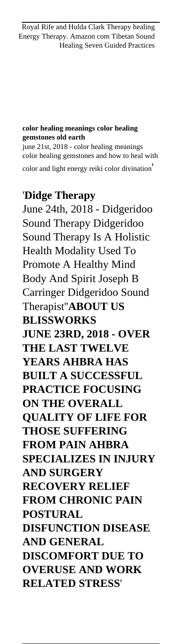#### **color healing meanings color healing gemstones old earth**

june 21st, 2018 - color healing meanings color healing gemstones and how to heal with color and light energy reiki color divination'

#### '**Didge Therapy**

June 24th, 2018 - Didgeridoo Sound Therapy Didgeridoo Sound Therapy Is A Holistic Health Modality Used To Promote A Healthy Mind Body And Spirit Joseph B Carringer Didgeridoo Sound Therapist''**ABOUT US BLISSWORKS JUNE 23RD, 2018 - OVER THE LAST TWELVE YEARS AHBRA HAS BUILT A SUCCESSFUL PRACTICE FOCUSING ON THE OVERALL QUALITY OF LIFE FOR THOSE SUFFERING FROM PAIN AHBRA SPECIALIZES IN INJURY AND SURGERY RECOVERY RELIEF FROM CHRONIC PAIN POSTURAL DISFUNCTION DISEASE AND GENERAL DISCOMFORT DUE TO OVERUSE AND WORK RELATED STRESS**'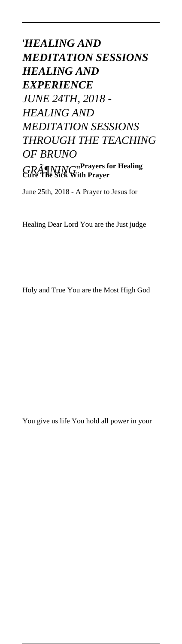## '*HEALING AND MEDITATION SESSIONS HEALING AND EXPERIENCE JUNE 24TH, 2018 - HEALING AND MEDITATION SESSIONS THROUGH THE TEACHING OF BRUNO GRöNING*''**Prayers for Healing Cure The Sick With Prayer**

June 25th, 2018 - A Prayer to Jesus for

Healing Dear Lord You are the Just judge

Holy and True You are the Most High God

You give us life You hold all power in your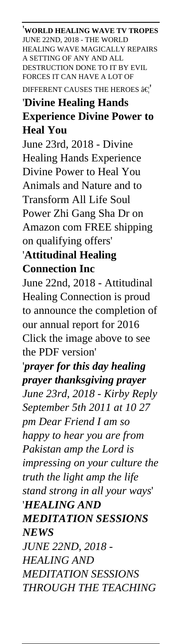'**WORLD HEALING WAVE TV TROPES** JUNE 22ND, 2018 - THE WORLD HEALING WAVE MAGICALLY REPAIRS A SETTING OF ANY AND ALL DESTRUCTION DONE TO IT BY EVIL FORCES IT CAN HAVE A LOT OF DIFFERENT CAUSES THE HEROES  $\hat{a} \in$ 

### '**Divine Healing Hands Experience Divine Power to Heal You**

June 23rd, 2018 - Divine Healing Hands Experience Divine Power to Heal You Animals and Nature and to Transform All Life Soul Power Zhi Gang Sha Dr on Amazon com FREE shipping on qualifying offers'

### '**Attitudinal Healing Connection Inc**

June 22nd, 2018 - Attitudinal Healing Connection is proud to announce the completion of our annual report for 2016 Click the image above to see the PDF version'

# '*prayer for this day healing prayer thanksgiving prayer*

*June 23rd, 2018 - Kirby Reply September 5th 2011 at 10 27 pm Dear Friend I am so happy to hear you are from Pakistan amp the Lord is impressing on your culture the truth the light amp the life stand strong in all your ways*' '*HEALING AND MEDITATION SESSIONS NEWS JUNE 22ND, 2018 - HEALING AND MEDITATION SESSIONS THROUGH THE TEACHING*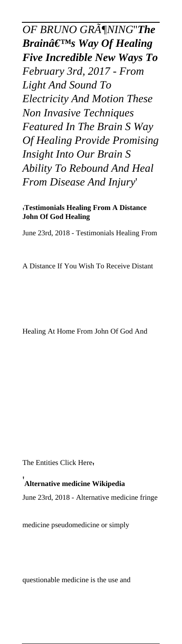*OF BRUNO GRöNING*''*The Brain's Way Of Healing Five Incredible New Ways To February 3rd, 2017 - From Light And Sound To Electricity And Motion These Non Invasive Techniques Featured In The Brain S Way Of Healing Provide Promising Insight Into Our Brain S Ability To Rebound And Heal From Disease And Injury*'

'**Testimonials Healing From A Distance John Of God Healing**

June 23rd, 2018 - Testimonials Healing From

A Distance If You Wish To Receive Distant

Healing At Home From John Of God And

The Entities Click Here,

'**Alternative medicine Wikipedia**

June 23rd, 2018 - Alternative medicine fringe

medicine pseudomedicine or simply

questionable medicine is the use and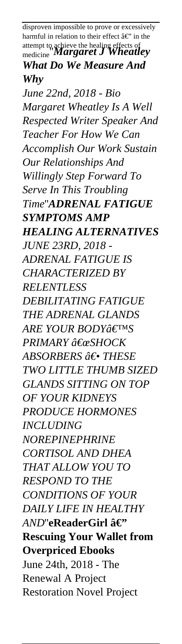disproven impossible to prove or excessively harmful in relation to their effect  $\hat{a} \in \hat{B}$  in the attempt to achieve the healing effects of medicine''*Margaret J Wheatley What Do We Measure And Why June 22nd, 2018 - Bio Margaret Wheatley Is A Well Respected Writer Speaker And Teacher For How We Can Accomplish Our Work Sustain Our Relationships And Willingly Step Forward To Serve In This Troubling Time*''*ADRENAL FATIGUE SYMPTOMS AMP HEALING ALTERNATIVES JUNE 23RD, 2018 - ADRENAL FATIGUE IS CHARACTERIZED BY RELENTLESS DEBILITATING FATIGUE THE ADRENAL GLANDS ARE YOUR BODY* a€™S *PRIMARY "SHOCK ABSORBERS ― THESE TWO LITTLE THUMB SIZED GLANDS SITTING ON TOP OF YOUR KIDNEYS PRODUCE HORMONES INCLUDING NOREPINEPHRINE CORTISOL AND DHEA THAT ALLOW YOU TO RESPOND TO THE CONDITIONS OF YOUR DAILY LIFE IN HEALTHY AND*"eReaderGirl â€" **Rescuing Your Wallet from Overpriced Ebooks** June 24th, 2018 - The Renewal A Project Restoration Novel Project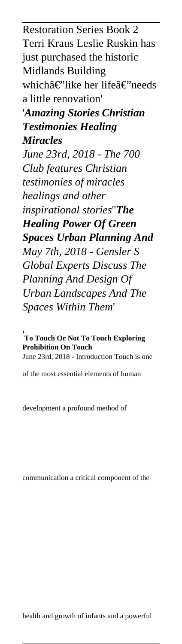Restoration Series Book 2 Terri Kraus Leslie Ruskin has just purchased the historic Midlands Building whichâ€"like her lifeâ€"needs a little renovation' '*Amazing Stories Christian Testimonies Healing Miracles June 23rd, 2018 - The 700 Club features Christian testimonies of miracles healings and other inspirational stories*''*The Healing Power Of Green Spaces Urban Planning And May 7th, 2018 - Gensler S Global Experts Discuss The Planning And Design Of Urban Landscapes And The Spaces Within Them*'

'**To Touch Or Not To Touch Exploring Prohibition On Touch** June 23rd, 2018 - Introduction Touch is one

of the most essential elements of human

development a profound method of

communication a critical component of the

health and growth of infants and a powerful